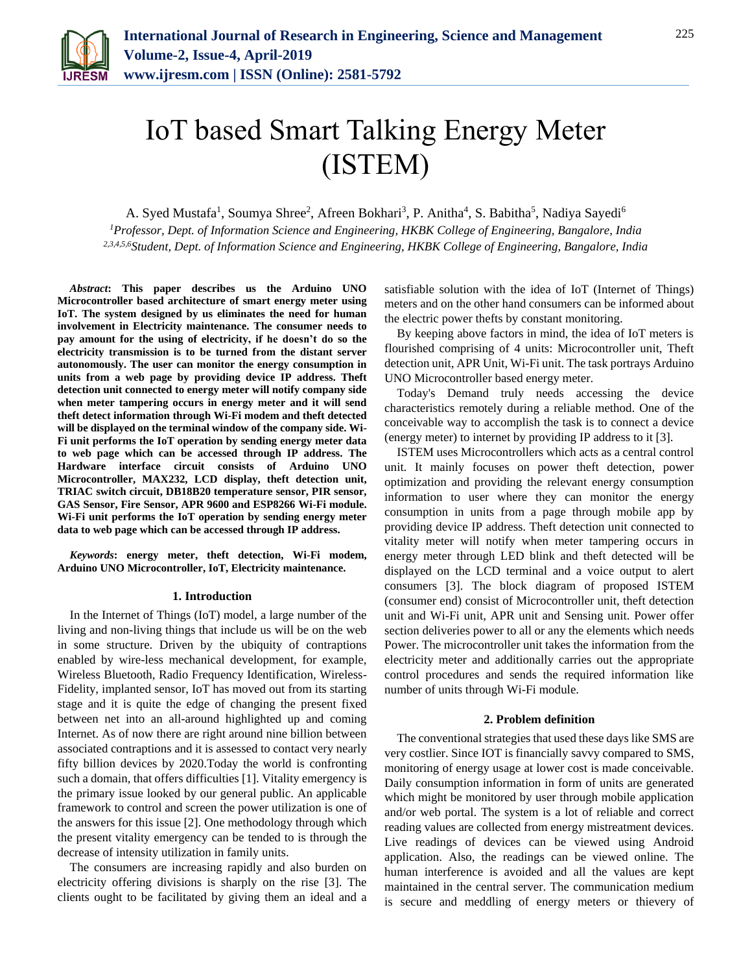

# IoT based Smart Talking Energy Meter (ISTEM)

A. Syed Mustafa<sup>1</sup>, Soumya Shree<sup>2</sup>, Afreen Bokhari<sup>3</sup>, P. Anitha<sup>4</sup>, S. Babitha<sup>5</sup>, Nadiya Sayedi<sup>6</sup>

*<sup>1</sup>Professor, Dept. of Information Science and Engineering, HKBK College of Engineering, Bangalore, India 2,3,4,5,6Student, Dept. of Information Science and Engineering, HKBK College of Engineering, Bangalore, India*

*Abstract***: This paper describes us the Arduino UNO Microcontroller based architecture of smart energy meter using IoT. The system designed by us eliminates the need for human involvement in Electricity maintenance. The consumer needs to pay amount for the using of electricity, if he doesn't do so the electricity transmission is to be turned from the distant server autonomously. The user can monitor the energy consumption in units from a web page by providing device IP address. Theft detection unit connected to energy meter will notify company side when meter tampering occurs in energy meter and it will send theft detect information through Wi-Fi modem and theft detected will be displayed on the terminal window of the company side. Wi-Fi unit performs the IoT operation by sending energy meter data to web page which can be accessed through IP address. The Hardware interface circuit consists of Arduino UNO Microcontroller, MAX232, LCD display, theft detection unit, TRIAC switch circuit, DB18B20 temperature sensor, PIR sensor, GAS Sensor, Fire Sensor, APR 9600 and ESP8266 Wi-Fi module. Wi-Fi unit performs the IoT operation by sending energy meter data to web page which can be accessed through IP address.**

*Keywords***: energy meter, theft detection, Wi-Fi modem, Arduino UNO Microcontroller, IoT, Electricity maintenance.**

#### **1. Introduction**

In the Internet of Things (IoT) model, a large number of the living and non-living things that include us will be on the web in some structure. Driven by the ubiquity of contraptions enabled by wire-less mechanical development, for example, Wireless Bluetooth, Radio Frequency Identification, Wireless-Fidelity, implanted sensor, IoT has moved out from its starting stage and it is quite the edge of changing the present fixed between net into an all-around highlighted up and coming Internet. As of now there are right around nine billion between associated contraptions and it is assessed to contact very nearly fifty billion devices by 2020.Today the world is confronting such a domain, that offers difficulties [1]. Vitality emergency is the primary issue looked by our general public. An applicable framework to control and screen the power utilization is one of the answers for this issue [2]. One methodology through which the present vitality emergency can be tended to is through the decrease of intensity utilization in family units.

The consumers are increasing rapidly and also burden on electricity offering divisions is sharply on the rise [3]. The clients ought to be facilitated by giving them an ideal and a satisfiable solution with the idea of IoT (Internet of Things) meters and on the other hand consumers can be informed about the electric power thefts by constant monitoring.

By keeping above factors in mind, the idea of IoT meters is flourished comprising of 4 units: Microcontroller unit, Theft detection unit, APR Unit, Wi-Fi unit. The task portrays Arduino UNO Microcontroller based energy meter.

Today's Demand truly needs accessing the device characteristics remotely during a reliable method. One of the conceivable way to accomplish the task is to connect a device (energy meter) to internet by providing IP address to it [3].

ISTEM uses Microcontrollers which acts as a central control unit. It mainly focuses on power theft detection, power optimization and providing the relevant energy consumption information to user where they can monitor the energy consumption in units from a page through mobile app by providing device IP address. Theft detection unit connected to vitality meter will notify when meter tampering occurs in energy meter through LED blink and theft detected will be displayed on the LCD terminal and a voice output to alert consumers [3]. The block diagram of proposed ISTEM (consumer end) consist of Microcontroller unit, theft detection unit and Wi-Fi unit, APR unit and Sensing unit. Power offer section deliveries power to all or any the elements which needs Power. The microcontroller unit takes the information from the electricity meter and additionally carries out the appropriate control procedures and sends the required information like number of units through Wi-Fi module.

#### **2. Problem definition**

The conventional strategies that used these days like SMS are very costlier. Since IOT is financially savvy compared to SMS, monitoring of energy usage at lower cost is made conceivable. Daily consumption information in form of units are generated which might be monitored by user through mobile application and/or web portal. The system is a lot of reliable and correct reading values are collected from energy mistreatment devices. Live readings of devices can be viewed using Android application. Also, the readings can be viewed online. The human interference is avoided and all the values are kept maintained in the central server. The communication medium is secure and meddling of energy meters or thievery of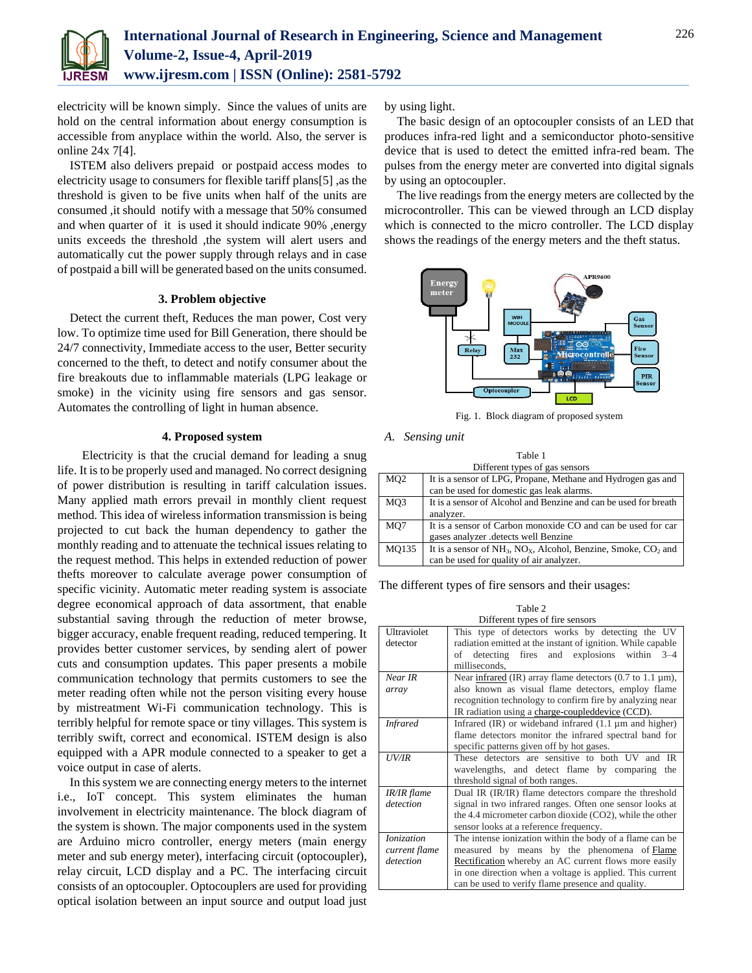

electricity will be known simply. Since the values of units are hold on the central information about energy consumption is accessible from anyplace within the world. Also, the server is online 24x 7[4].

ISTEM also delivers prepaid or postpaid access modes to electricity usage to consumers for flexible tariff plans[5] ,as the threshold is given to be five units when half of the units are consumed ,it should notify with a message that 50% consumed and when quarter of it is used it should indicate 90% ,energy units exceeds the threshold ,the system will alert users and automatically cut the power supply through relays and in case of postpaid a bill will be generated based on the units consumed.

# **3. Problem objective**

Detect the current theft, Reduces the man power, Cost very low. To optimize time used for Bill Generation, there should be 24/7 connectivity, Immediate access to the user, Better security concerned to the theft, to detect and notify consumer about the fire breakouts due to inflammable materials (LPG leakage or smoke) in the vicinity using fire sensors and gas sensor. Automates the controlling of light in human absence.

## **4. Proposed system**

 Electricity is that the crucial demand for leading a snug life. It is to be properly used and managed. No correct designing of power distribution is resulting in tariff calculation issues. Many applied math errors prevail in monthly client request method. This idea of wireless information transmission is being projected to cut back the human dependency to gather the monthly reading and to attenuate the technical issues relating to the request method. This helps in extended reduction of power thefts moreover to calculate average power consumption of specific vicinity. Automatic meter reading system is associate degree economical approach of data assortment, that enable substantial saving through the reduction of meter browse, bigger accuracy, enable frequent reading, reduced tempering. It provides better customer services, by sending alert of power cuts and consumption updates. This paper presents a mobile communication technology that permits customers to see the meter reading often while not the person visiting every house by mistreatment Wi-Fi communication technology. This is terribly helpful for remote space or tiny villages. This system is terribly swift, correct and economical. ISTEM design is also equipped with a APR module connected to a speaker to get a voice output in case of alerts.

In this system we are connecting energy meters to the internet i.e., IoT concept. This system eliminates the human involvement in electricity maintenance. The block diagram of the system is shown. The major components used in the system are Arduino micro controller, energy meters (main energy meter and sub energy meter), interfacing circuit (optocoupler), relay circuit, LCD display and a PC. The interfacing circuit consists of an optocoupler. Optocouplers are used for providing optical isolation between an input source and output load just

by using light.

The basic design of an optocoupler consists of an LED that produces infra-red light and a semiconductor photo-sensitive device that is used to detect the emitted infra-red beam. The pulses from the energy meter are converted into digital signals by using an optocoupler.

The live readings from the energy meters are collected by the microcontroller. This can be viewed through an LCD display which is connected to the micro controller. The LCD display shows the readings of the energy meters and the theft status.



Fig. 1. Block diagram of proposed system

#### *A. Sensing unit*

| Table 1                        |                                                                         |  |
|--------------------------------|-------------------------------------------------------------------------|--|
| Different types of gas sensors |                                                                         |  |
| MQ <sub>2</sub>                | It is a sensor of LPG, Propane, Methane and Hydrogen gas and            |  |
|                                | can be used for domestic gas leak alarms.                               |  |
| MQ3                            | It is a sensor of Alcohol and Benzine and can be used for breath        |  |
|                                | analyzer.                                                               |  |
| MO7                            | It is a sensor of Carbon monoxide CO and can be used for car            |  |
|                                | gases analyzer .detects well Benzine                                    |  |
| MO135                          | It is a sensor of $NH_3$ , $NO_x$ , Alcohol, Benzine, Smoke, $CO_2$ and |  |
|                                | can be used for quality of air analyzer.                                |  |

The different types of fire sensors and their usages:

|                   | Table 2                                                                       |
|-------------------|-------------------------------------------------------------------------------|
|                   | Different types of fire sensors                                               |
| Ultraviolet       | This type of detectors works by detecting the UV                              |
| detector          | radiation emitted at the instant of ignition. While capable                   |
|                   | fires and explosions<br>within<br>of detecting<br>$3 - 4$                     |
|                   | milliseconds,                                                                 |
| Near IR           | Near infrared (IR) array flame detectors $(0.7 \text{ to } 1.1 \text{ µm})$ , |
| array             | also known as visual flame detectors, employ flame                            |
|                   | recognition technology to confirm fire by analyzing near                      |
|                   | IR radiation using a charge-coupled device (CCD).                             |
| <b>Infrared</b>   | Infrared $(IR)$ or wideband infrared $(1.1 \mu m)$ and higher)                |
|                   | flame detectors monitor the infrared spectral band for                        |
|                   | specific patterns given off by hot gases.                                     |
| UV/IR             | These detectors are sensitive to both UV and<br>IR                            |
|                   | wavelengths, and detect flame by comparing<br>the                             |
|                   | threshold signal of both ranges.                                              |
| IR/IR flame       | Dual IR (IR/IR) flame detectors compare the threshold                         |
| detection         | signal in two infrared ranges. Often one sensor looks at                      |
|                   | the 4.4 micrometer carbon dioxide (CO2), while the other                      |
|                   | sensor looks at a reference frequency.                                        |
| <b>Ionization</b> | The intense ionization within the body of a flame can be                      |
| current flame     | measured by means by the phenomena of Flame                                   |
| detection         | Rectification whereby an AC current flows more easily                         |
|                   | in one direction when a voltage is applied. This current                      |
|                   | can be used to verify flame presence and quality.                             |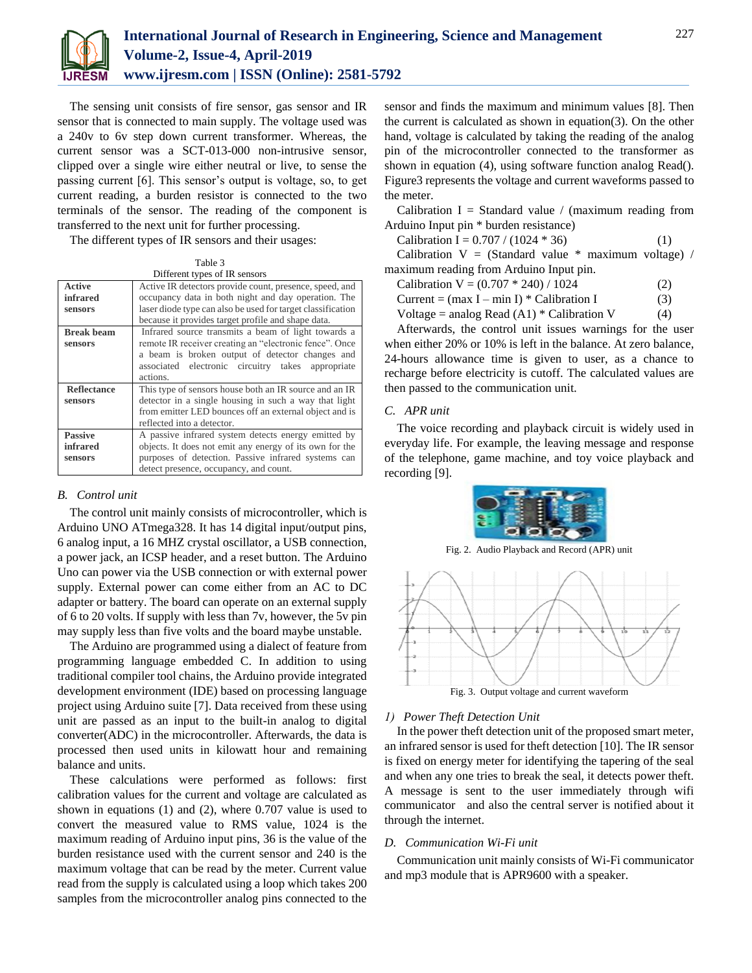

The sensing unit consists of fire sensor, gas sensor and IR sensor that is connected to main supply. The voltage used was a 240v to 6v step down current transformer. Whereas, the current sensor was a SCT-013-000 non-intrusive sensor, clipped over a single wire either neutral or live, to sense the passing current [6]. This sensor's output is voltage, so, to get current reading, a burden resistor is connected to the two terminals of the sensor. The reading of the component is transferred to the next unit for further processing.

The different types of IR sensors and their usages:

| Table 3                       |
|-------------------------------|
| Different types of IR sensors |

|                    | DIHEIGHT TYPES OF IN SCHSOLS                                |
|--------------------|-------------------------------------------------------------|
| <b>Active</b>      | Active IR detectors provide count, presence, speed, and     |
| infrared           | occupancy data in both night and day operation. The         |
| sensors            | laser diode type can also be used for target classification |
|                    | because it provides target profile and shape data.          |
| <b>Break beam</b>  | Infrared source transmits a beam of light towards a         |
| sensors            | remote IR receiver creating an "electronic fence". Once     |
|                    | a beam is broken output of detector changes and             |
|                    | associated electronic circuitry takes appropriate           |
|                    | actions.                                                    |
| <b>Reflectance</b> | This type of sensors house both an IR source and an IR      |
| sensors            | detector in a single housing in such a way that light       |
|                    | from emitter LED bounces off an external object and is      |
|                    | reflected into a detector.                                  |
| <b>Passive</b>     | A passive infrared system detects energy emitted by         |
| <b>infrared</b>    | objects. It does not emit any energy of its own for the     |
| sensors            | purposes of detection. Passive infrared systems can         |
|                    | detect presence, occupancy, and count.                      |

#### *B. Control unit*

The control unit mainly consists of microcontroller, which is Arduino UNO ATmega328. It has 14 digital input/output pins, 6 analog input, a 16 MHZ crystal oscillator, a USB connection, a power jack, an ICSP header, and a reset button. The Arduino Uno can power via the USB connection or with external power supply. External power can come either from an AC to DC adapter or battery. The board can operate on an external supply of 6 to 20 volts. If supply with less than 7v, however, the 5v pin may supply less than five volts and the board maybe unstable.

The Arduino are programmed using a dialect of feature from programming language embedded C. In addition to using traditional compiler tool chains, the Arduino provide integrated development environment (IDE) based on processing language project using Arduino suite [7]. Data received from these using unit are passed as an input to the built-in analog to digital converter(ADC) in the microcontroller. Afterwards, the data is processed then used units in kilowatt hour and remaining balance and units.

These calculations were performed as follows: first calibration values for the current and voltage are calculated as shown in equations (1) and (2), where 0.707 value is used to convert the measured value to RMS value, 1024 is the maximum reading of Arduino input pins, 36 is the value of the burden resistance used with the current sensor and 240 is the maximum voltage that can be read by the meter. Current value read from the supply is calculated using a loop which takes 200 samples from the microcontroller analog pins connected to the

sensor and finds the maximum and minimum values [8]. Then the current is calculated as shown in equation(3). On the other hand, voltage is calculated by taking the reading of the analog pin of the microcontroller connected to the transformer as shown in equation (4), using software function analog Read(). Figure3 represents the voltage and current waveforms passed to the meter.

Calibration I = Standard value / (maximum reading from Arduino Input pin \* burden resistance)

| Calibration I = $0.707 / (1024 * 36)$                  | (1) |
|--------------------------------------------------------|-----|
| Calibration $V = (Standard value * maximum voltage) /$ |     |
| maximum reading from Arduino Input pin.                |     |

|  | Calibration V = $(0.707 * 240) / 1024$                                                                     | (2) |
|--|------------------------------------------------------------------------------------------------------------|-----|
|  | $C_{\rm max}$ ( $C_{\rm max}$ is the state of $C_{\rm max}$ in $C_{\rm max}$ is the state of $C_{\rm max}$ |     |

Current =  $(max I - min I) * California I$  (3)

Voltage = analog Read  $(A1)$  \* Calibration V (4)

Afterwards, the control unit issues warnings for the user when either 20% or 10% is left in the balance. At zero balance, 24-hours allowance time is given to user, as a chance to recharge before electricity is cutoff. The calculated values are then passed to the communication unit.

## *C. APR unit*

The voice recording and playback circuit is widely used in everyday life. For example, the leaving message and response of the telephone, game machine, and toy voice playback and recording [9].



Fig. 2. Audio Playback and Record (APR) unit



# *1) Power Theft Detection Unit*

In the power theft detection unit of the proposed smart meter, an infrared sensor is used for theft detection [10]. The IR sensor is fixed on energy meter for identifying the tapering of the seal and when any one tries to break the seal, it detects power theft. A message is sent to the user immediately through wifi communicator and also the central server is notified about it through the internet.

#### *D. Communication Wi-Fi unit*

Communication unit mainly consists of Wi-Fi communicator and mp3 module that is APR9600 with a speaker.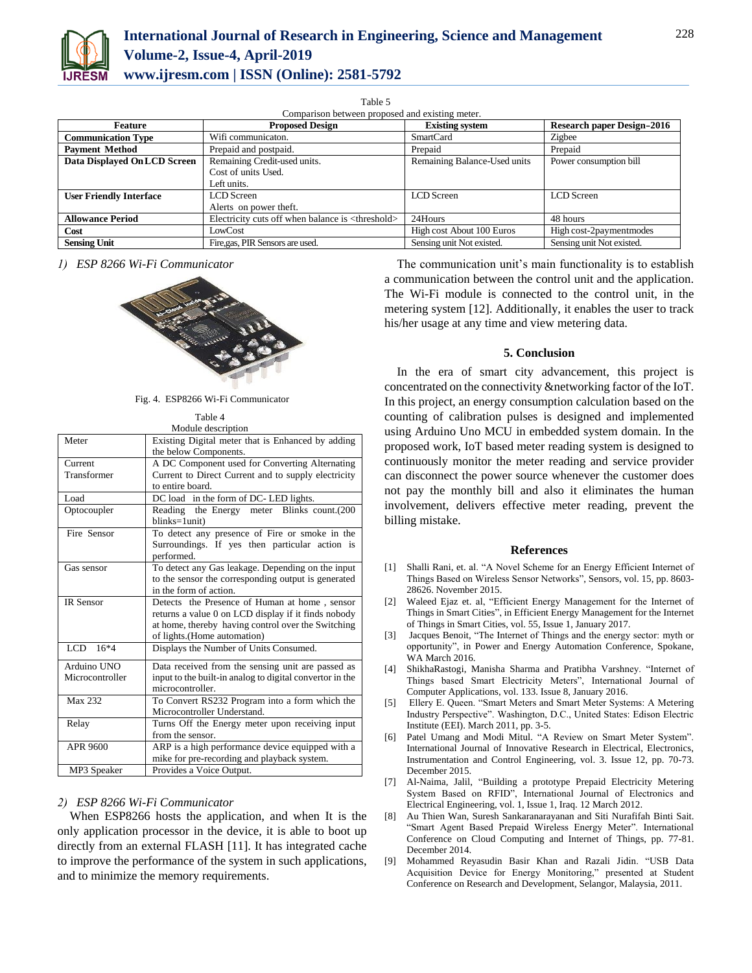

| Comparison between proposed and existing meter. |                                                              |                              |                                   |
|-------------------------------------------------|--------------------------------------------------------------|------------------------------|-----------------------------------|
| Feature                                         | <b>Proposed Design</b>                                       | <b>Existing system</b>       | <b>Research paper Design-2016</b> |
| <b>Communication Type</b>                       | Wifi communicaton.                                           | <b>SmartCard</b>             | Zigbee                            |
| <b>Payment Method</b>                           | Prepaid and postpaid.                                        | Prepaid                      | Prepaid                           |
| Data Displayed On LCD Screen                    | Remaining Credit-used units.                                 | Remaining Balance-Used units | Power consumption bill            |
|                                                 | Cost of units Used.                                          |                              |                                   |
|                                                 | Left units.                                                  |                              |                                   |
| <b>User Friendly Interface</b>                  | LCD Screen                                                   | LCD Screen                   | LCD Screen                        |
|                                                 | Alerts on power theft.                                       |                              |                                   |
| <b>Allowance Period</b>                         | Electricity cuts off when balance is <threshold></threshold> | 24Hours                      | 48 hours                          |
| Cost                                            | LowCost                                                      | High cost About 100 Euros    | High cost-2payment modes          |
| <b>Sensing Unit</b>                             | Fire, gas, PIR Sensors are used.                             | Sensing unit Not existed.    | Sensing unit Not existed.         |

*1) ESP 8266 Wi-Fi Communicator*



Fig. 4. ESP8266 Wi-Fi Communicator  $T = 1$ 

|                  | Table 4                                                  |
|------------------|----------------------------------------------------------|
|                  | Module description                                       |
| Meter            | Existing Digital meter that is Enhanced by adding        |
|                  | the below Components.                                    |
| Current          | A DC Component used for Converting Alternating           |
| Transformer      | Current to Direct Current and to supply electricity      |
|                  | to entire board.                                         |
| Load             | DC load in the form of DC-LED lights.                    |
| Optocoupler      | Reading the Energy meter Blinks count.(200               |
|                  | blinks=1unit)                                            |
| Fire Sensor      | To detect any presence of Fire or smoke in the           |
|                  | Surroundings. If yes then particular action is           |
|                  | performed.                                               |
| Gas sensor       | To detect any Gas leakage. Depending on the input        |
|                  | to the sensor the corresponding output is generated      |
|                  | in the form of action.                                   |
| <b>IR Sensor</b> | Detects the Presence of Human at home, sensor            |
|                  | returns a value 0 on LCD display if it finds nobody      |
|                  | at home, thereby having control over the Switching       |
|                  | of lights.(Home automation)                              |
| LCD.<br>$16*4$   | Displays the Number of Units Consumed.                   |
| Arduino UNO      | Data received from the sensing unit are passed as        |
| Microcontroller  | input to the built-in analog to digital convertor in the |
|                  | microcontroller.                                         |
| <b>Max 232</b>   | To Convert RS232 Program into a form which the           |
|                  | Microcontroller Understand.                              |
| Relay            | Turns Off the Energy meter upon receiving input          |
|                  | from the sensor.                                         |
| APR 9600         | ARP is a high performance device equipped with a         |
|                  | mike for pre-recording and playback system.              |
| MP3 Speaker      | Provides a Voice Output.                                 |
|                  |                                                          |

# *2) ESP 8266 Wi-Fi Communicator*

When ESP8266 hosts the application, and when It is the only application processor in the device, it is able to boot up directly from an external FLASH [11]. It has integrated cache to improve the performance of the system in such applications, and to minimize the memory requirements.

The communication unit's main functionality is to establish a communication between the control unit and the application. The Wi-Fi module is connected to the control unit, in the metering system [12]. Additionally, it enables the user to track his/her usage at any time and view metering data.

#### **5. Conclusion**

In the era of smart city advancement, this project is concentrated on the connectivity &networking factor of the IoT. In this project, an energy consumption calculation based on the counting of calibration pulses is designed and implemented using Arduino Uno MCU in embedded system domain. In the proposed work, IoT based meter reading system is designed to continuously monitor the meter reading and service provider can disconnect the power source whenever the customer does not pay the monthly bill and also it eliminates the human involvement, delivers effective meter reading, prevent the billing mistake.

#### **References**

- [1] Shalli Rani, et. al. "A Novel Scheme for an Energy Efficient Internet of Things Based on Wireless Sensor Networks", Sensors, vol. 15, pp. 8603- 28626. November 2015.
- [2] Waleed Ejaz et. al, "Efficient Energy Management for the Internet of Things in Smart Cities", in Efficient Energy Management for the Internet of Things in Smart Cities, vol. 55, Issue 1, January 2017.
- [3] Jacques Benoit, "The Internet of Things and the energy sector: myth or opportunity", in Power and Energy Automation Conference, Spokane, WA March 2016.
- [4] ShikhaRastogi, Manisha Sharma and Pratibha Varshney. "Internet of Things based Smart Electricity Meters", International Journal of Computer Applications, vol. 133. Issue 8, January 2016.
- [5] Ellery E. Queen. "Smart Meters and Smart Meter Systems: A Metering Industry Perspective". Washington, D.C., United States: Edison Electric Institute (EEI). March 2011, pp. 3-5.
- [6] Patel Umang and Modi Mitul. "A Review on Smart Meter System". International Journal of Innovative Research in Electrical, Electronics, Instrumentation and Control Engineering, vol. 3. Issue 12, pp. 70-73. December 2015.
- [7] Al-Naima, Jalil, "Building a prototype Prepaid Electricity Metering System Based on RFID", International Journal of Electronics and Electrical Engineering, vol. 1, Issue 1, Iraq. 12 March 2012.
- [8] Au Thien Wan, Suresh Sankaranarayanan and Siti Nurafifah Binti Sait. "Smart Agent Based Prepaid Wireless Energy Meter". International Conference on Cloud Computing and Internet of Things, pp. 77-81. December 2014.
- [9] Mohammed Reyasudin Basir Khan and Razali Jidin. "USB Data Acquisition Device for Energy Monitoring," presented at Student Conference on Research and Development, Selangor, Malaysia, 2011.